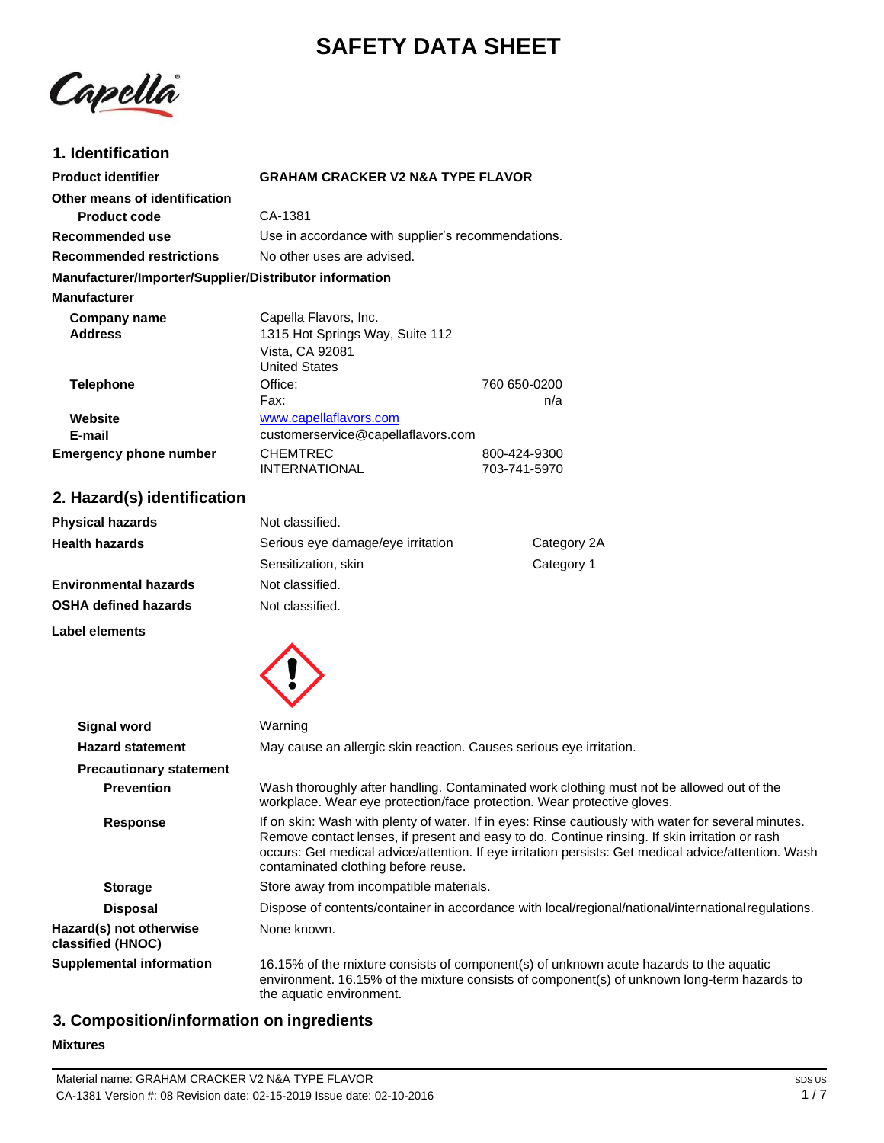# **SAFETY DATA SHEET**

Capella

## **1. Identification**

| <b>Product identifier</b>                              | <b>GRAHAM CRACKER V2 N&amp;A TYPE FLAVOR</b>                                                                                                                                                                                                                                                                                                         |                                                                                                                                                                                       |  |
|--------------------------------------------------------|------------------------------------------------------------------------------------------------------------------------------------------------------------------------------------------------------------------------------------------------------------------------------------------------------------------------------------------------------|---------------------------------------------------------------------------------------------------------------------------------------------------------------------------------------|--|
| Other means of identification                          |                                                                                                                                                                                                                                                                                                                                                      |                                                                                                                                                                                       |  |
| <b>Product code</b>                                    | CA-1381                                                                                                                                                                                                                                                                                                                                              |                                                                                                                                                                                       |  |
| Recommended use                                        | Use in accordance with supplier's recommendations.                                                                                                                                                                                                                                                                                                   |                                                                                                                                                                                       |  |
| <b>Recommended restrictions</b>                        | No other uses are advised.                                                                                                                                                                                                                                                                                                                           |                                                                                                                                                                                       |  |
| Manufacturer/Importer/Supplier/Distributor information |                                                                                                                                                                                                                                                                                                                                                      |                                                                                                                                                                                       |  |
| <b>Manufacturer</b>                                    |                                                                                                                                                                                                                                                                                                                                                      |                                                                                                                                                                                       |  |
| <b>Company name</b><br><b>Address</b>                  | Capella Flavors, Inc.<br>1315 Hot Springs Way, Suite 112<br>Vista, CA 92081<br><b>United States</b>                                                                                                                                                                                                                                                  |                                                                                                                                                                                       |  |
| <b>Telephone</b>                                       | Office:                                                                                                                                                                                                                                                                                                                                              | 760 650-0200                                                                                                                                                                          |  |
| Website<br>E-mail<br><b>Emergency phone number</b>     | Fax:<br>www.capellaflavors.com<br>customerservice@capellaflavors.com<br><b>CHEMTREC</b><br><b>INTERNATIONAL</b>                                                                                                                                                                                                                                      | n/a<br>800-424-9300<br>703-741-5970                                                                                                                                                   |  |
| 2. Hazard(s) identification                            |                                                                                                                                                                                                                                                                                                                                                      |                                                                                                                                                                                       |  |
|                                                        |                                                                                                                                                                                                                                                                                                                                                      |                                                                                                                                                                                       |  |
| <b>Physical hazards</b>                                | Not classified.                                                                                                                                                                                                                                                                                                                                      |                                                                                                                                                                                       |  |
| <b>Health hazards</b>                                  | Serious eye damage/eye irritation                                                                                                                                                                                                                                                                                                                    | Category 2A                                                                                                                                                                           |  |
|                                                        | Sensitization, skin                                                                                                                                                                                                                                                                                                                                  | Category 1                                                                                                                                                                            |  |
| <b>Environmental hazards</b>                           | Not classified.                                                                                                                                                                                                                                                                                                                                      |                                                                                                                                                                                       |  |
| <b>OSHA defined hazards</b>                            | Not classified.                                                                                                                                                                                                                                                                                                                                      |                                                                                                                                                                                       |  |
| Label elements                                         |                                                                                                                                                                                                                                                                                                                                                      |                                                                                                                                                                                       |  |
| <b>Signal word</b>                                     | Warning                                                                                                                                                                                                                                                                                                                                              |                                                                                                                                                                                       |  |
| <b>Hazard statement</b>                                | May cause an allergic skin reaction. Causes serious eye irritation.                                                                                                                                                                                                                                                                                  |                                                                                                                                                                                       |  |
| <b>Precautionary statement</b>                         |                                                                                                                                                                                                                                                                                                                                                      |                                                                                                                                                                                       |  |
| <b>Prevention</b>                                      | Wash thoroughly after handling. Contaminated work clothing must not be allowed out of the<br>workplace. Wear eye protection/face protection. Wear protective gloves.                                                                                                                                                                                 |                                                                                                                                                                                       |  |
| <b>Response</b>                                        | If on skin: Wash with plenty of water. If in eyes: Rinse cautiously with water for several minutes.<br>Remove contact lenses, if present and easy to do. Continue rinsing. If skin irritation or rash<br>occurs: Get medical advice/attention. If eye irritation persists: Get medical advice/attention. Wash<br>contaminated clothing before reuse. |                                                                                                                                                                                       |  |
| <b>Storage</b>                                         | Store away from incompatible materials.                                                                                                                                                                                                                                                                                                              |                                                                                                                                                                                       |  |
| <b>Disposal</b>                                        |                                                                                                                                                                                                                                                                                                                                                      | Dispose of contents/container in accordance with local/regional/national/international regulations.                                                                                   |  |
| Hazard(s) not otherwise<br>classified (HNOC)           | None known.                                                                                                                                                                                                                                                                                                                                          |                                                                                                                                                                                       |  |
| <b>Supplemental information</b>                        | the aquatic environment.                                                                                                                                                                                                                                                                                                                             | 16.15% of the mixture consists of component(s) of unknown acute hazards to the aquatic<br>environment. 16.15% of the mixture consists of component(s) of unknown long-term hazards to |  |

## **3. Composition/information on ingredients**

#### **Mixtures**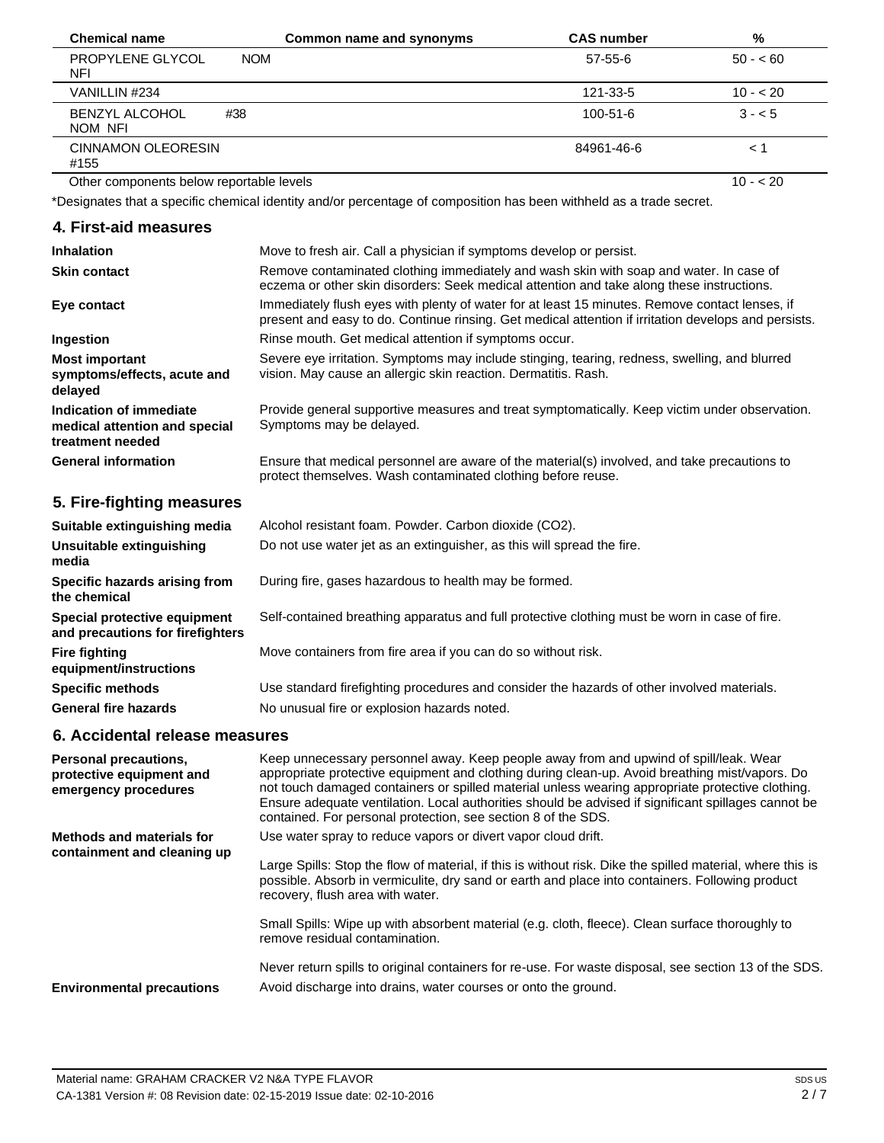| <b>Chemical name</b>                     | Common name and synonyms | <b>CAS number</b> | %         |
|------------------------------------------|--------------------------|-------------------|-----------|
| PROPYLENE GLYCOL<br>NFI                  | <b>NOM</b>               | $57 - 55 - 6$     | $50 - 60$ |
| VANILLIN #234                            |                          | 121-33-5          | $10 - 20$ |
| <b>BENZYL ALCOHOL</b><br>#38<br>NOM NFI  |                          | 100-51-6          | $3 - 5$   |
| <b>CINNAMON OLEORESIN</b><br>#155        |                          | 84961-46-6        | $<$ 1     |
| Other components below reportable levels |                          |                   | $10 - 20$ |

Other components below reportable levels

\*Designates that a specific chemical identity and/or percentage of composition has been withheld as a trade secret.

#### **4. First-aid measures**

| <b>Inhalation</b>                                                            | Move to fresh air. Call a physician if symptoms develop or persist.                                                                                                                                    |
|------------------------------------------------------------------------------|--------------------------------------------------------------------------------------------------------------------------------------------------------------------------------------------------------|
| <b>Skin contact</b>                                                          | Remove contaminated clothing immediately and wash skin with soap and water. In case of<br>eczema or other skin disorders: Seek medical attention and take along these instructions.                    |
| Eye contact                                                                  | Immediately flush eyes with plenty of water for at least 15 minutes. Remove contact lenses, if<br>present and easy to do. Continue rinsing. Get medical attention if irritation develops and persists. |
| Ingestion                                                                    | Rinse mouth. Get medical attention if symptoms occur.                                                                                                                                                  |
| <b>Most important</b><br>symptoms/effects, acute and<br>delayed              | Severe eye irritation. Symptoms may include stinging, tearing, redness, swelling, and blurred<br>vision. May cause an allergic skin reaction. Dermatitis. Rash.                                        |
| Indication of immediate<br>medical attention and special<br>treatment needed | Provide general supportive measures and treat symptomatically. Keep victim under observation.<br>Symptoms may be delayed.                                                                              |
| <b>General information</b>                                                   | Ensure that medical personnel are aware of the material(s) involved, and take precautions to<br>protect themselves. Wash contaminated clothing before reuse.                                           |
| 5. Fire-fighting measures                                                    |                                                                                                                                                                                                        |

| Suitable extinguishing media                                     | Alcohol resistant foam. Powder. Carbon dioxide (CO2).                                         |  |
|------------------------------------------------------------------|-----------------------------------------------------------------------------------------------|--|
| Unsuitable extinguishing<br>media                                | Do not use water jet as an extinguisher, as this will spread the fire.                        |  |
| Specific hazards arising from<br>the chemical                    | During fire, gases hazardous to health may be formed.                                         |  |
| Special protective equipment<br>and precautions for firefighters | Self-contained breathing apparatus and full protective clothing must be worn in case of fire. |  |
| <b>Fire fighting</b><br>equipment/instructions                   | Move containers from fire area if you can do so without risk.                                 |  |
| <b>Specific methods</b>                                          | Use standard firefighting procedures and consider the hazards of other involved materials.    |  |
| <b>General fire hazards</b>                                      | No unusual fire or explosion hazards noted.                                                   |  |

## **6. Accidental release measures**

| <b>Personal precautions,</b><br>protective equipment and<br>emergency procedures | Keep unnecessary personnel away. Keep people away from and upwind of spill/leak. Wear<br>appropriate protective equipment and clothing during clean-up. Avoid breathing mist/vapors. Do<br>not touch damaged containers or spilled material unless wearing appropriate protective clothing.<br>Ensure adequate ventilation. Local authorities should be advised if significant spillages cannot be<br>contained. For personal protection, see section 8 of the SDS. |
|----------------------------------------------------------------------------------|---------------------------------------------------------------------------------------------------------------------------------------------------------------------------------------------------------------------------------------------------------------------------------------------------------------------------------------------------------------------------------------------------------------------------------------------------------------------|
| Methods and materials for<br>containment and cleaning up                         | Use water spray to reduce vapors or divert vapor cloud drift.<br>Large Spills: Stop the flow of material, if this is without risk. Dike the spilled material, where this is<br>possible. Absorb in vermiculite, dry sand or earth and place into containers. Following product<br>recovery, flush area with water.                                                                                                                                                  |
|                                                                                  | Small Spills: Wipe up with absorbent material (e.g. cloth, fleece). Clean surface thoroughly to<br>remove residual contamination.                                                                                                                                                                                                                                                                                                                                   |
| <b>Environmental precautions</b>                                                 | Never return spills to original containers for re-use. For waste disposal, see section 13 of the SDS.<br>Avoid discharge into drains, water courses or onto the ground.                                                                                                                                                                                                                                                                                             |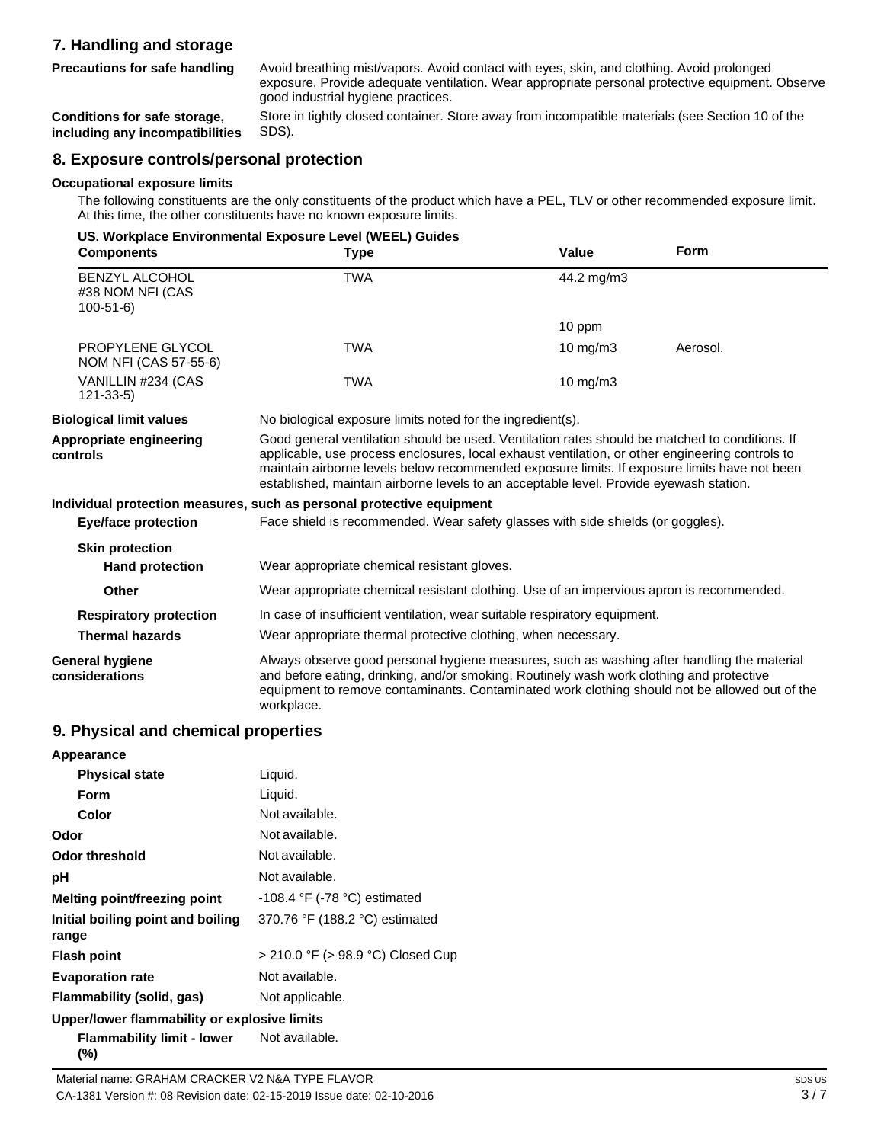## **7. Handling and storage**

**Precautions for safe handling**

Avoid breathing mist/vapors. Avoid contact with eyes, skin, and clothing. Avoid prolonged exposure. Provide adequate ventilation. Wear appropriate personal protective equipment. Observe good industrial hygiene practices.

**Conditions for safe storage, including any incompatibilities** Store in tightly closed container. Store away from incompatible materials (see Section 10 of the SDS).

## **8. Exposure controls/personal protection**

#### **Occupational exposure limits**

The following constituents are the only constituents of the product which have a PEL, TLV or other recommended exposure limit. At this time, the other constituents have no known exposure limits.

|                                                             | US. Workplace Environmental Exposure Level (WEEL) Guides                                                                                                                                                                                                                                                                                                                                    |             |             |
|-------------------------------------------------------------|---------------------------------------------------------------------------------------------------------------------------------------------------------------------------------------------------------------------------------------------------------------------------------------------------------------------------------------------------------------------------------------------|-------------|-------------|
| <b>Components</b>                                           | <b>Type</b>                                                                                                                                                                                                                                                                                                                                                                                 | Value       | <b>Form</b> |
| <b>BENZYL ALCOHOL</b><br>#38 NOM NFI (CAS<br>$100 - 51 - 6$ | <b>TWA</b>                                                                                                                                                                                                                                                                                                                                                                                  | 44.2 mg/m3  |             |
|                                                             |                                                                                                                                                                                                                                                                                                                                                                                             | 10 ppm      |             |
| PROPYLENE GLYCOL<br>NOM NFI (CAS 57-55-6)                   | <b>TWA</b>                                                                                                                                                                                                                                                                                                                                                                                  | 10 mg/m $3$ | Aerosol.    |
| VANILLIN #234 (CAS<br>$121 - 33 - 5$                        | <b>TWA</b>                                                                                                                                                                                                                                                                                                                                                                                  | 10 mg/m3    |             |
| <b>Biological limit values</b>                              | No biological exposure limits noted for the ingredient(s).                                                                                                                                                                                                                                                                                                                                  |             |             |
| Appropriate engineering<br>controls                         | Good general ventilation should be used. Ventilation rates should be matched to conditions. If<br>applicable, use process enclosures, local exhaust ventilation, or other engineering controls to<br>maintain airborne levels below recommended exposure limits. If exposure limits have not been<br>established, maintain airborne levels to an acceptable level. Provide eyewash station. |             |             |
|                                                             | Individual protection measures, such as personal protective equipment                                                                                                                                                                                                                                                                                                                       |             |             |
| <b>Eye/face protection</b>                                  | Face shield is recommended. Wear safety glasses with side shields (or goggles).                                                                                                                                                                                                                                                                                                             |             |             |
| <b>Skin protection</b>                                      |                                                                                                                                                                                                                                                                                                                                                                                             |             |             |
| <b>Hand protection</b>                                      | Wear appropriate chemical resistant gloves.                                                                                                                                                                                                                                                                                                                                                 |             |             |
| Other                                                       | Wear appropriate chemical resistant clothing. Use of an impervious apron is recommended.                                                                                                                                                                                                                                                                                                    |             |             |
| <b>Respiratory protection</b>                               | In case of insufficient ventilation, wear suitable respiratory equipment.                                                                                                                                                                                                                                                                                                                   |             |             |
| <b>Thermal hazards</b>                                      | Wear appropriate thermal protective clothing, when necessary.                                                                                                                                                                                                                                                                                                                               |             |             |
| General hygiene<br>considerations                           | Always observe good personal hygiene measures, such as washing after handling the material<br>and before eating, drinking, and/or smoking. Routinely wash work clothing and protective<br>equipment to remove contaminants. Contaminated work clothing should not be allowed out of the<br>workplace.                                                                                       |             |             |

#### **9. Physical and chemical properties**

| Appearance                                   |                                   |
|----------------------------------------------|-----------------------------------|
| <b>Physical state</b>                        | Liquid.                           |
| Form                                         | Liquid.                           |
| Color                                        | Not available.                    |
| Odor                                         | Not available.                    |
| <b>Odor threshold</b>                        | Not available.                    |
| рH                                           | Not available.                    |
| Melting point/freezing point                 | $-108.4$ °F ( $-78$ °C) estimated |
| Initial boiling point and boiling<br>range   | 370.76 °F (188.2 °C) estimated    |
| <b>Flash point</b>                           | > 210.0 °F (> 98.9 °C) Closed Cup |
| <b>Evaporation rate</b>                      | Not available.                    |
| Flammability (solid, gas)                    | Not applicable.                   |
| Upper/lower flammability or explosive limits |                                   |
| Flammability limit - lower<br>(%)            | Not available.                    |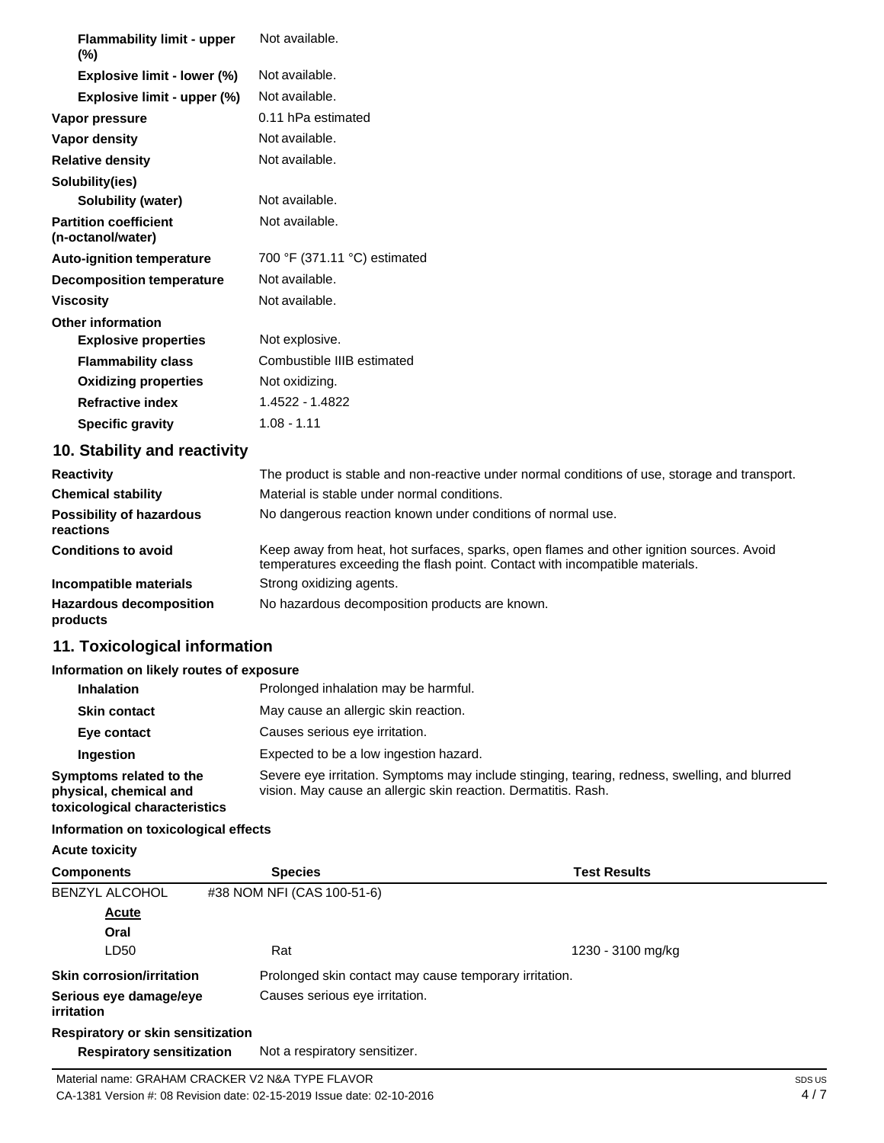| <b>Flammability limit - upper</b>                 | Not available.               |
|---------------------------------------------------|------------------------------|
| $(\%)$                                            |                              |
| Explosive limit - lower (%)                       | Not available.               |
| Explosive limit - upper (%)                       | Not available.               |
| Vapor pressure                                    | 0.11 hPa estimated           |
| Vapor density                                     | Not available.               |
| <b>Relative density</b>                           | Not available.               |
| Solubility(ies)                                   |                              |
| Solubility (water)                                | Not available.               |
| <b>Partition coefficient</b><br>(n-octanol/water) | Not available.               |
| <b>Auto-ignition temperature</b>                  | 700 °F (371.11 °C) estimated |
| <b>Decomposition temperature</b>                  | Not available.               |
| <b>Viscosity</b>                                  | Not available.               |
| <b>Other information</b>                          |                              |
| <b>Explosive properties</b>                       | Not explosive.               |
| <b>Flammability class</b>                         | Combustible IIIB estimated   |
| <b>Oxidizing properties</b>                       | Not oxidizing.               |
| <b>Refractive index</b>                           | 1.4522 - 1.4822              |
| <b>Specific gravity</b>                           | $1.08 - 1.11$                |
| 10. Stability and reactivity                      |                              |

| <b>Reactivity</b>                            | The product is stable and non-reactive under normal conditions of use, storage and transport.                                                                            |
|----------------------------------------------|--------------------------------------------------------------------------------------------------------------------------------------------------------------------------|
| <b>Chemical stability</b>                    | Material is stable under normal conditions.                                                                                                                              |
| <b>Possibility of hazardous</b><br>reactions | No dangerous reaction known under conditions of normal use.                                                                                                              |
| <b>Conditions to avoid</b>                   | Keep away from heat, hot surfaces, sparks, open flames and other ignition sources. Avoid<br>temperatures exceeding the flash point. Contact with incompatible materials. |
| Incompatible materials                       | Strong oxidizing agents.                                                                                                                                                 |
| <b>Hazardous decomposition</b><br>products   | No hazardous decomposition products are known.                                                                                                                           |

## **11. Toxicological information**

## **Information on likely routes of exposure**

| <b>Inhalation</b>                                                                  | Prolonged inhalation may be harmful.                                                                                                                            |
|------------------------------------------------------------------------------------|-----------------------------------------------------------------------------------------------------------------------------------------------------------------|
| <b>Skin contact</b>                                                                | May cause an allergic skin reaction.                                                                                                                            |
| Eye contact                                                                        | Causes serious eye irritation.                                                                                                                                  |
| <b>Ingestion</b>                                                                   | Expected to be a low ingestion hazard.                                                                                                                          |
| Symptoms related to the<br>physical, chemical and<br>toxicological characteristics | Severe eye irritation. Symptoms may include stinging, tearing, redness, swelling, and blurred<br>vision. May cause an allergic skin reaction. Dermatitis. Rash. |

## **Information on toxicological effects**

**Acute toxicity**

| <b>Components</b>                    | <b>Species</b>                                         | <b>Test Results</b> |  |
|--------------------------------------|--------------------------------------------------------|---------------------|--|
| <b>BENZYL ALCOHOL</b>                | #38 NOM NFI (CAS 100-51-6)                             |                     |  |
| <b>Acute</b>                         |                                                        |                     |  |
| Oral                                 |                                                        |                     |  |
| LD50                                 | Rat                                                    | 1230 - 3100 mg/kg   |  |
| <b>Skin corrosion/irritation</b>     | Prolonged skin contact may cause temporary irritation. |                     |  |
| Serious eye damage/eye<br>irritation | Causes serious eye irritation.                         |                     |  |
| Respiratory or skin sensitization    |                                                        |                     |  |
| <b>Respiratory sensitization</b>     | Not a respiratory sensitizer.                          |                     |  |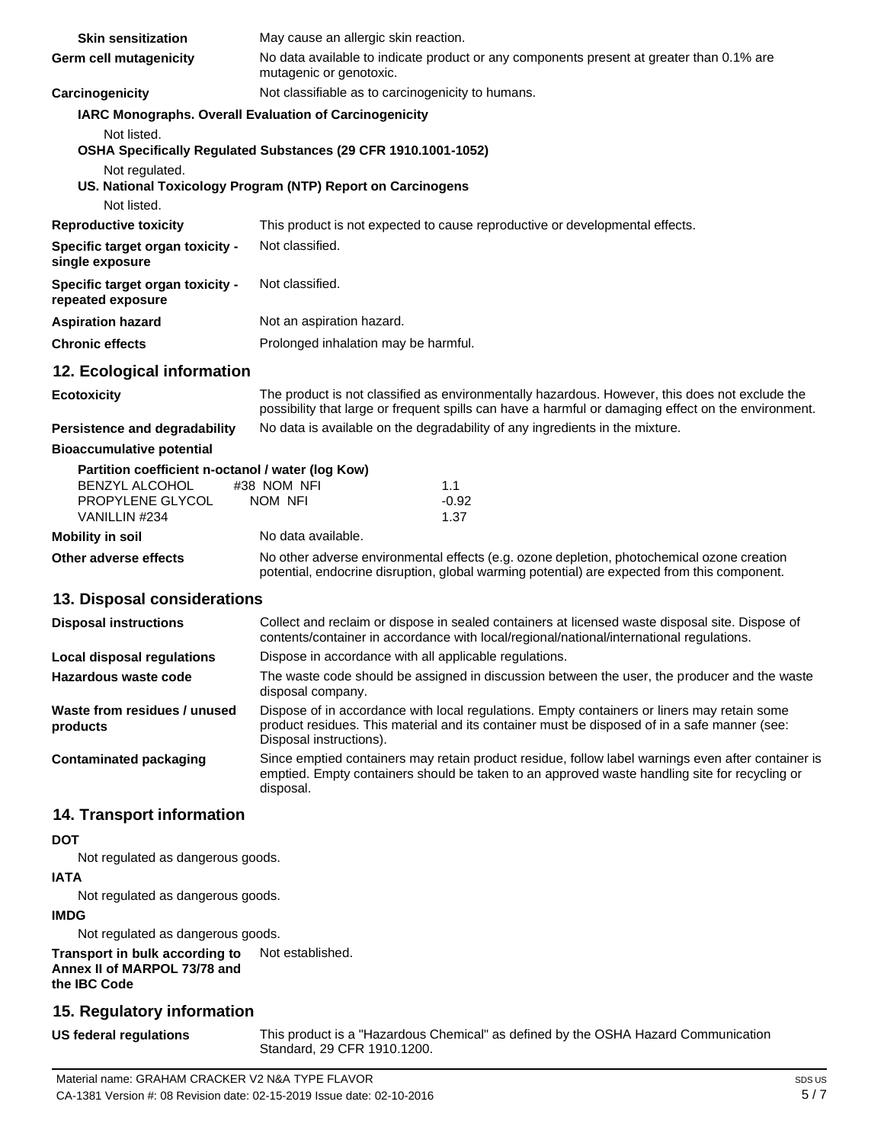| <b>Skin sensitization</b>                                                                                       | May cause an allergic skin reaction.                                                                                                                                                                                   |                                                                              |  |
|-----------------------------------------------------------------------------------------------------------------|------------------------------------------------------------------------------------------------------------------------------------------------------------------------------------------------------------------------|------------------------------------------------------------------------------|--|
| Germ cell mutagenicity                                                                                          | No data available to indicate product or any components present at greater than 0.1% are<br>mutagenic or genotoxic.                                                                                                    |                                                                              |  |
| Carcinogenicity                                                                                                 | Not classifiable as to carcinogenicity to humans.                                                                                                                                                                      |                                                                              |  |
| IARC Monographs. Overall Evaluation of Carcinogenicity                                                          |                                                                                                                                                                                                                        |                                                                              |  |
| Not listed.                                                                                                     |                                                                                                                                                                                                                        |                                                                              |  |
|                                                                                                                 | OSHA Specifically Regulated Substances (29 CFR 1910.1001-1052)                                                                                                                                                         |                                                                              |  |
| Not regulated.                                                                                                  | US. National Toxicology Program (NTP) Report on Carcinogens                                                                                                                                                            |                                                                              |  |
| Not listed.                                                                                                     |                                                                                                                                                                                                                        |                                                                              |  |
| <b>Reproductive toxicity</b>                                                                                    |                                                                                                                                                                                                                        | This product is not expected to cause reproductive or developmental effects. |  |
| Specific target organ toxicity -<br>single exposure                                                             | Not classified.                                                                                                                                                                                                        |                                                                              |  |
| <b>Specific target organ toxicity -</b><br>repeated exposure                                                    | Not classified.                                                                                                                                                                                                        |                                                                              |  |
| <b>Aspiration hazard</b>                                                                                        | Not an aspiration hazard.                                                                                                                                                                                              |                                                                              |  |
| <b>Chronic effects</b>                                                                                          | Prolonged inhalation may be harmful.                                                                                                                                                                                   |                                                                              |  |
| 12. Ecological information                                                                                      |                                                                                                                                                                                                                        |                                                                              |  |
| <b>Ecotoxicity</b>                                                                                              | The product is not classified as environmentally hazardous. However, this does not exclude the<br>possibility that large or frequent spills can have a harmful or damaging effect on the environment.                  |                                                                              |  |
| <b>Persistence and degradability</b>                                                                            | No data is available on the degradability of any ingredients in the mixture.                                                                                                                                           |                                                                              |  |
| <b>Bioaccumulative potential</b>                                                                                |                                                                                                                                                                                                                        |                                                                              |  |
| Partition coefficient n-octanol / water (log Kow)<br><b>BENZYL ALCOHOL</b><br>PROPYLENE GLYCOL<br>VANILLIN #234 | #38 NOM NFI<br>NOM NFI                                                                                                                                                                                                 | 1.1<br>$-0.92$<br>1.37                                                       |  |
| <b>Mobility in soil</b>                                                                                         | No data available.                                                                                                                                                                                                     |                                                                              |  |
| Other adverse effects                                                                                           | No other adverse environmental effects (e.g. ozone depletion, photochemical ozone creation<br>potential, endocrine disruption, global warming potential) are expected from this component.                             |                                                                              |  |
| 13. Disposal considerations                                                                                     |                                                                                                                                                                                                                        |                                                                              |  |
| <b>Disposal instructions</b>                                                                                    | Collect and reclaim or dispose in sealed containers at licensed waste disposal site. Dispose of<br>contents/container in accordance with local/regional/national/international regulations.                            |                                                                              |  |
| Local disposal regulations                                                                                      | Dispose in accordance with all applicable regulations.                                                                                                                                                                 |                                                                              |  |
| Hazardous waste code                                                                                            | The waste code should be assigned in discussion between the user, the producer and the waste<br>disposal company.                                                                                                      |                                                                              |  |
| Waste from residues / unused<br>products                                                                        | Dispose of in accordance with local regulations. Empty containers or liners may retain some<br>product residues. This material and its container must be disposed of in a safe manner (see:<br>Disposal instructions). |                                                                              |  |
| <b>Contaminated packaging</b>                                                                                   | Since emptied containers may retain product residue, follow label warnings even after container is                                                                                                                     |                                                                              |  |

## **14. Transport information**

#### **DOT**

Not regulated as dangerous goods.

#### **IATA**

Not regulated as dangerous goods.

#### **IMDG**

Not regulated as dangerous goods.

#### **Transport in bulk according to Annex II of MARPOL 73/78 and the IBC Code** Not established.

### **15. Regulatory information**

**US federal regulations**

This product is a "Hazardous Chemical" as defined by the OSHA Hazard Communication Standard, 29 CFR 1910.1200.

emptied. Empty containers should be taken to an approved waste handling site for recycling or

disposal.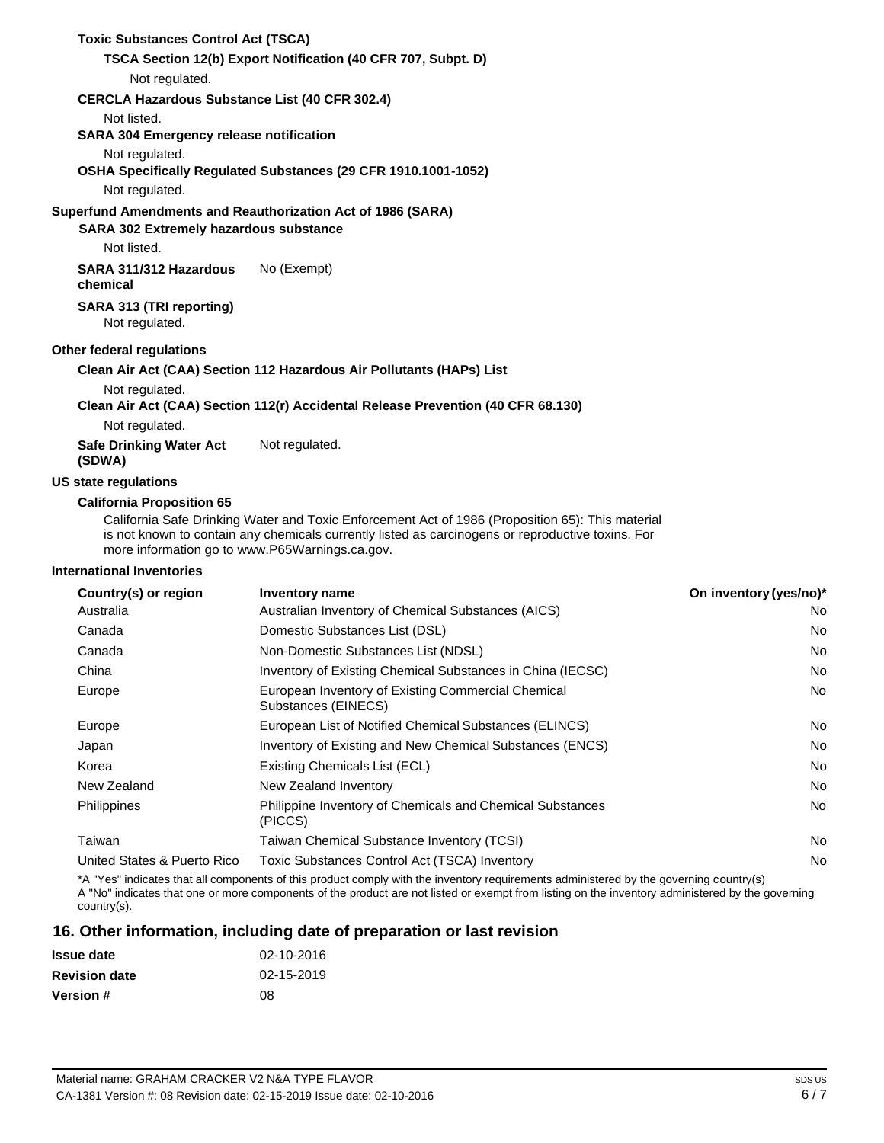## **Toxic Substances Control Act (TSCA) TSCA Section 12(b) Export Notification (40 CFR 707, Subpt. D)** Not regulated. **CERCLA Hazardous Substance List (40 CFR 302.4)** Not listed. **SARA 304 Emergency release notification** Not regulated. **OSHA Specifically Regulated Substances (29 CFR 1910.1001-1052)** Not regulated. **Superfund Amendments and Reauthorization Act of 1986 (SARA) SARA 302 Extremely hazardous substance** Not listed. **SARA 311/312 Hazardous chemical SARA 313 (TRI reporting)** Not regulated. **Other federal regulations** No (Exempt) **Clean Air Act (CAA) Section 112 Hazardous Air Pollutants (HAPs) List** Not regulated. **Clean Air Act (CAA) Section 112(r) Accidental Release Prevention (40 CFR 68.130)** Not regulated. **Safe Drinking Water Act (SDWA) US state regulations California Proposition 65** Not regulated.

California Safe Drinking Water and Toxic Enforcement Act of 1986 (Proposition 65): This material is not known to contain any chemicals currently listed as carcinogens or reproductive toxins. For more information go to [www.P65Warnings.ca.gov.](http://www.p65warnings.ca.gov/)

#### **International Inventories**

| Country(s) or region        | Inventory name                                                              | On inventory (yes/no)* |
|-----------------------------|-----------------------------------------------------------------------------|------------------------|
| Australia                   | Australian Inventory of Chemical Substances (AICS)                          | No                     |
| Canada                      | Domestic Substances List (DSL)                                              | No                     |
| Canada                      | Non-Domestic Substances List (NDSL)                                         | No                     |
| China                       | Inventory of Existing Chemical Substances in China (IECSC)                  | <b>No</b>              |
| Europe                      | European Inventory of Existing Commercial Chemical<br>Substances (EINECS)   | No.                    |
| Europe                      | European List of Notified Chemical Substances (ELINCS)                      | No                     |
| Japan                       | Inventory of Existing and New Chemical Substances (ENCS)                    | No                     |
| Korea                       | Existing Chemicals List (ECL)                                               | <b>No</b>              |
| New Zealand                 | New Zealand Inventory                                                       | No                     |
| Philippines                 | <b>Philippine Inventory of Chemicals and Chemical Substances</b><br>(PICCS) | <b>No</b>              |
| Taiwan                      | Taiwan Chemical Substance Inventory (TCSI)                                  | No                     |
| United States & Puerto Rico | Toxic Substances Control Act (TSCA) Inventory                               | <b>No</b>              |

\*A "Yes" indicates that all components of this product comply with the inventory requirements administered by the governing country(s) A "No" indicates that one or more components of the product are not listed or exempt from listing on the inventory administered by the governing country(s).

### **16. Other information, including date of preparation or last revision**

| <b>Issue date</b>    | 02-10-2016 |
|----------------------|------------|
| <b>Revision date</b> | 02-15-2019 |
| <b>Version #</b>     | 08         |